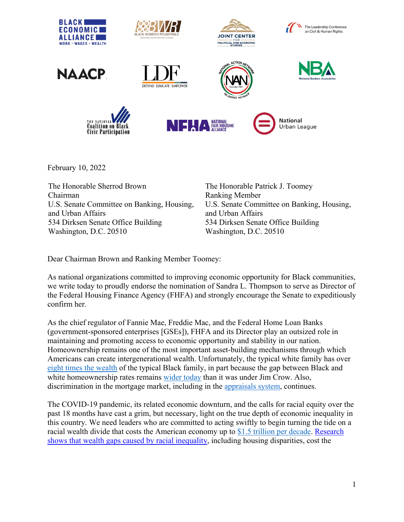

February 10, 2022

The Honorable Sherrod Brown Chairman U.S. Senate Committee on Banking, Housing, and Urban Affairs 534 Dirksen Senate Office Building Washington, D.C. 20510

The Honorable Patrick J. Toomey Ranking Member U.S. Senate Committee on Banking, Housing, and Urban Affairs 534 Dirksen Senate Office Building Washington, D.C. 20510

Dear Chairman Brown and Ranking Member Toomey:

As national organizations committed to improving economic opportunity for Black communities, we write today to proudly endorse the nomination of Sandra L. Thompson to serve as Director of the Federal Housing Finance Agency (FHFA) and strongly encourage the Senate to expeditiously confirm her.

As the chief regulator of Fannie Mae, Freddie Mac, and the Federal Home Loan Banks (government-sponsored enterprises [GSEs]), FHFA and its Director play an outsized role in maintaining and promoting access to economic opportunity and stability in our nation. Homeownership remains one of the most important asset-building mechanisms through which Americans can create intergenerational wealth. Unfortunately, the typical white family has over [eight times the wealth](https://www.federalreserve.gov/econres/notes/feds-notes/disparities-in-wealth-by-race-and-ethnicity-in-the-2019-survey-of-consumer-finances-20200928.htm) of the typical Black family, in part because the gap between Black and white homeownership rates remains [wider today](https://www.marketwatch.com/story/the-racial-wealth-gap-is-at-the-heart-of-americas-inequality-2020-07-15) than it was under Jim Crow. Also, discrimination in the mortgage market, including in the [appraisals system,](https://www.fhfa.gov/Media/Blog/Pages/Reducing-Valuation-Bias-by-Addressing-Appraiser-and-Property-Valuation-Commentary.aspx) continues.

The COVID-19 pandemic, its related economic downturn, and the calls for racial equity over the past 18 months have cast a grim, but necessary, light on the true depth of economic inequality in this country. We need leaders who are committed to acting swiftly to begin turning the tide on a racial wealth divide that costs the American economy up to [\\$1.5 trillion per decade.](https://www.mckinsey.com/industries/public-and-social-sector/our-insights/the-economic-impact-of-closing-the-racial-wealth-gap) [Research](https://ir.citi.com/NvIUklHPilz14Hwd3oxqZBLMn1_XPqo5FrxsZD0x6hhil84ZxaxEuJUWmak51UHvYk75VKeHCMI%3D)  [shows that wealth gaps caused by racial inequality,](https://ir.citi.com/NvIUklHPilz14Hwd3oxqZBLMn1_XPqo5FrxsZD0x6hhil84ZxaxEuJUWmak51UHvYk75VKeHCMI%3D) including housing disparities, cost the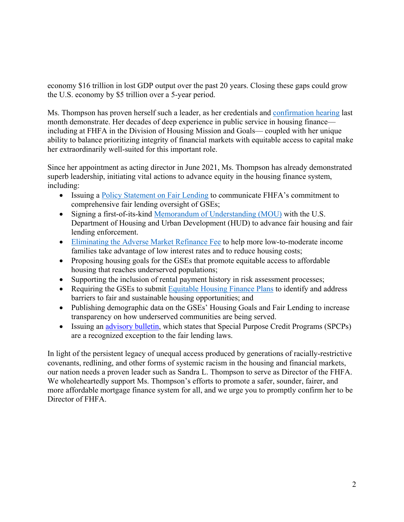economy \$16 trillion in lost GDP output over the past 20 years. Closing these gaps could grow the U.S. economy by \$5 trillion over a 5-year period.

Ms. Thompson has proven herself such a leader, as her credentials and [confirmation hearing](https://www.banking.senate.gov/hearings/01/04/2022/nomination-hearing-1) last month demonstrate. Her decades of deep experience in public service in housing finance including at FHFA in the Division of Housing Mission and Goals— coupled with her unique ability to balance prioritizing integrity of financial markets with equitable access to capital make her extraordinarily well-suited for this important role.

Since her appointment as acting director in June 2021, Ms. Thompson has already demonstrated superb leadership, initiating vital actions to advance equity in the housing finance system, including:

- Issuing a [Policy Statement on Fair Lending](https://www.fhfa.gov/PolicyProgramsResearch/Policy/Pages/Fair-Lending-Oversight.aspx) to communicate FHFA's commitment to comprehensive fair lending oversight of GSEs;
- Signing a first-of-its-kind [Memorandum of Understanding \(MOU\)](https://nationalfairhousing.org/2021/08/12/nfha-president-and-ceo-releases-statement-applauding-hud-and-fhfa-collaboration-to-advance-fair-housing-and-fair-lending-enforcement/) with the U.S. Department of Housing and Urban Development (HUD) to advance fair housing and fair lending enforcement.
- [Eliminating the Adverse Market Refinance Fee](https://www.fhfa.gov/Media/PublicAffairs/Pages/FHFA-Eliminates-Adverse-Market-Refinance-Fee.aspx) to help more low-to-moderate income families take advantage of low interest rates and to reduce housing costs;
- Proposing housing goals for the GSEs that promote equitable access to affordable housing that reaches underserved populations;
- Supporting the inclusion of rental payment history in risk assessment processes;
- Requiring the GSEs to submit [Equitable Housing Finance Plans](https://nationalfairhousing.org/2021/10/27/nfha-and-advocates-submit-comment-letter-to-fhfa-on-enterprise-equitable-housing-finance-plans/) to identify and address barriers to fair and sustainable housing opportunities; and
- Publishing demographic data on the GSEs' Housing Goals and Fair Lending to increase transparency on how underserved communities are being served.
- Issuing an [advisory bulletin,](https://www.fhfa.gov/SupervisionRegulation/AdvisoryBulletins/Pages/Enterprise-Fair-Lending-and-Fair-Housing-Compliance.aspx) which states that Special Purpose Credit Programs (SPCPs) are a recognized exception to the fair lending laws.

In light of the persistent legacy of unequal access produced by generations of racially-restrictive covenants, redlining, and other forms of systemic racism in the housing and financial markets, our nation needs a proven leader such as Sandra L. Thompson to serve as Director of the FHFA. We wholeheartedly support Ms. Thompson's efforts to promote a safer, sounder, fairer, and more affordable mortgage finance system for all, and we urge you to promptly confirm her to be Director of FHFA.